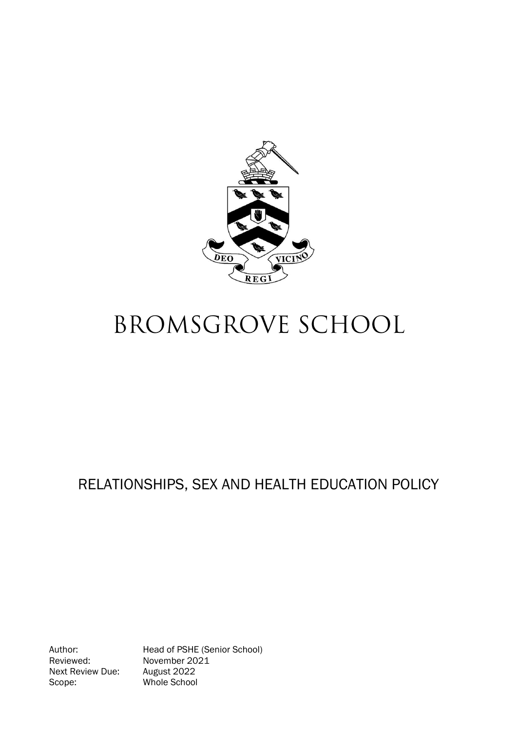

# **BROMSGROVE SCHOOL**

# RELATIONSHIPS, SEX AND HEALTH EDUCATION POLICY

Reviewed: November 2021<br>Next Review Due: August 2022 Next Review Due: Scope: Whole School

Author: Head of PSHE (Senior School)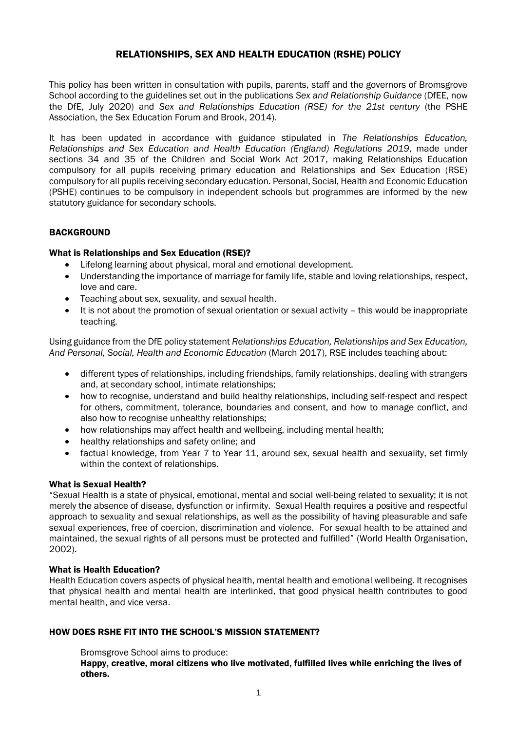# RELATIONSHIPS, SEX AND HEALTH EDUCATION (RSHE) POLICY

This policy has been written in consultation with pupils, parents, staff and the governors of Bromsgrove School according to the guidelines set out in the publications *Sex and Relationship Guidance* (DfEE, now the DfE, July 2020) and *Sex and Relationships Education (RSE) for the 21st century* (the PSHE Association, the Sex Education Forum and Brook, 2014).

It has been updated in accordance with guidance stipulated in *The Relationships Education, Relationships and Sex Education and Health Education (England) Regulations 2019*, made under sections 34 and 35 of the Children and Social Work Act 2017, making Relationships Education compulsory for all pupils receiving primary education and Relationships and Sex Education (RSE) compulsory for all pupils receiving secondary education. Personal, Social, Health and Economic Education (PSHE) continues to be compulsory in independent schools but programmes are informed by the new statutory guidance for secondary schools.

#### **BACKGROUND**

#### What is Relationships and Sex Education (RSE)?

- Lifelong learning about physical, moral and emotional development.
- Understanding the importance of marriage for family life, stable and loving relationships, respect, love and care.
- Teaching about sex, sexuality, and sexual health.
- It is not about the promotion of sexual orientation or sexual activity this would be inappropriate teaching.

Using guidance from the DfE policy statement *Relationships Education, Relationships and Sex Education, And Personal, Social, Health and Economic Education* (March 2017), RSE includes teaching about:

- different types of relationships, including friendships, family relationships, dealing with strangers and, at secondary school, intimate relationships;
- how to recognise, understand and build healthy relationships, including self-respect and respect for others, commitment, tolerance, boundaries and consent, and how to manage conflict, and also how to recognise unhealthy relationships;
- how relationships may affect health and wellbeing, including mental health;
- healthy relationships and safety online; and
- factual knowledge, from Year 7 to Year 11, around sex, sexual health and sexuality, set firmly within the context of relationships.

#### What is Sexual Health?

"Sexual Health is a state of physical, emotional, mental and social well-being related to sexuality; it is not merely the absence of disease, dysfunction or infirmity. Sexual Health requires a positive and respectful approach to sexuality and sexual relationships, as well as the possibility of having pleasurable and safe sexual experiences, free of coercion, discrimination and violence. For sexual health to be attained and maintained, the sexual rights of all persons must be protected and fulfilled" (World Health Organisation, 2002).

#### What is Health Education?

Health Education covers aspects of physical health, mental health and emotional wellbeing. It recognises that physical health and mental health are interlinked, that good physical health contributes to good mental health, and vice versa.

# HOW DOES RSHE FIT INTO THE SCHOOL'S MISSION STATEMENT?

Bromsgrove School aims to produce:

Happy, creative, moral citizens who live motivated, fulfilled lives while enriching the lives of others.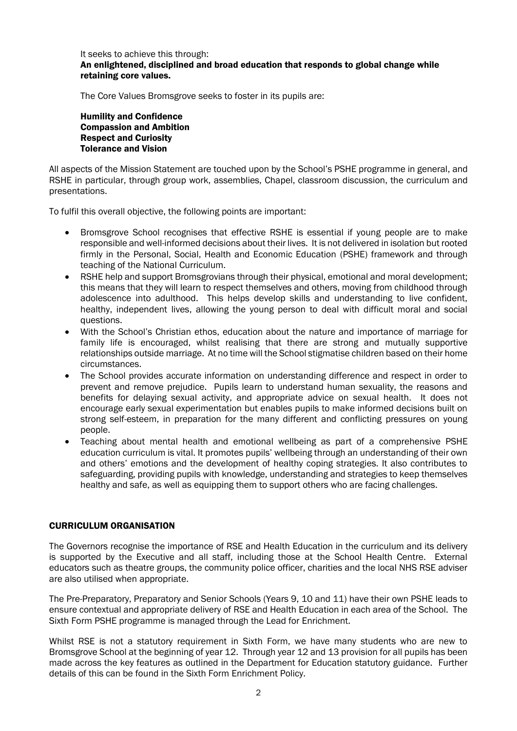#### It seeks to achieve this through: An enlightened, disciplined and broad education that responds to global change while retaining core values.

The Core Values Bromsgrove seeks to foster in its pupils are:

Humility and Confidence Compassion and Ambition Respect and Curiosity Tolerance and Vision

All aspects of the Mission Statement are touched upon by the School's PSHE programme in general, and RSHE in particular, through group work, assemblies, Chapel, classroom discussion, the curriculum and presentations.

To fulfil this overall objective, the following points are important:

- Bromsgrove School recognises that effective RSHE is essential if young people are to make responsible and well-informed decisions about their lives. It is not delivered in isolation but rooted firmly in the Personal, Social, Health and Economic Education (PSHE) framework and through teaching of the National Curriculum.
- RSHE help and support Bromsgrovians through their physical, emotional and moral development; this means that they will learn to respect themselves and others, moving from childhood through adolescence into adulthood. This helps develop skills and understanding to live confident, healthy, independent lives, allowing the young person to deal with difficult moral and social questions.
- With the School's Christian ethos, education about the nature and importance of marriage for family life is encouraged, whilst realising that there are strong and mutually supportive relationships outside marriage. At no time will the School stigmatise children based on their home circumstances.
- The School provides accurate information on understanding difference and respect in order to prevent and remove prejudice. Pupils learn to understand human sexuality, the reasons and benefits for delaying sexual activity, and appropriate advice on sexual health. It does not encourage early sexual experimentation but enables pupils to make informed decisions built on strong self-esteem, in preparation for the many different and conflicting pressures on young people.
- Teaching about mental health and emotional wellbeing as part of a comprehensive PSHE education curriculum is vital. It promotes pupils' wellbeing through an understanding of their own and others' emotions and the development of healthy coping strategies. It also contributes to safeguarding, providing pupils with knowledge, understanding and strategies to keep themselves healthy and safe, as well as equipping them to support others who are facing challenges.

### CURRICULUM ORGANISATION

The Governors recognise the importance of RSE and Health Education in the curriculum and its delivery is supported by the Executive and all staff, including those at the School Health Centre. External educators such as theatre groups, the community police officer, charities and the local NHS RSE adviser are also utilised when appropriate.

The Pre-Preparatory, Preparatory and Senior Schools (Years 9, 10 and 11) have their own PSHE leads to ensure contextual and appropriate delivery of RSE and Health Education in each area of the School. The Sixth Form PSHE programme is managed through the Lead for Enrichment.

Whilst RSE is not a statutory requirement in Sixth Form, we have many students who are new to Bromsgrove School at the beginning of year 12. Through year 12 and 13 provision for all pupils has been made across the key features as outlined in the Department for Education statutory guidance. Further details of this can be found in the Sixth Form Enrichment Policy.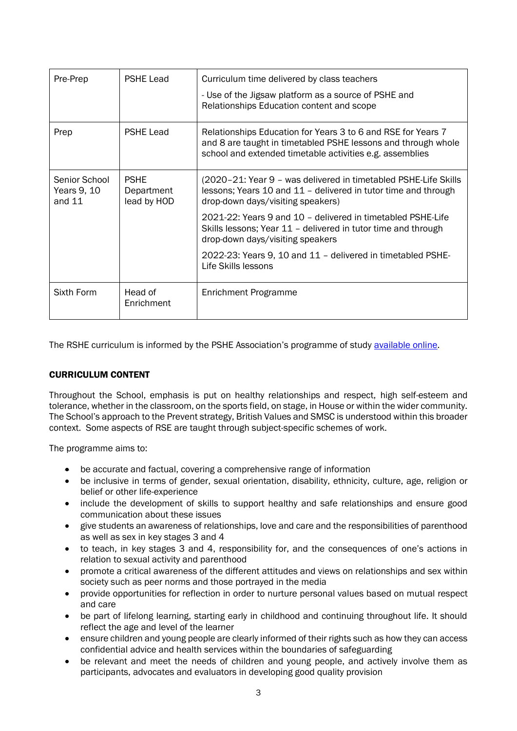| Pre-Prep                                 | <b>PSHE Lead</b>                         | Curriculum time delivered by class teachers<br>- Use of the Jigsaw platform as a source of PSHE and<br>Relationships Education content and scope                                          |
|------------------------------------------|------------------------------------------|-------------------------------------------------------------------------------------------------------------------------------------------------------------------------------------------|
| Prep                                     | <b>PSHE Lead</b>                         | Relationships Education for Years 3 to 6 and RSE for Years 7<br>and 8 are taught in timetabled PSHE lessons and through whole<br>school and extended timetable activities e.g. assemblies |
| Senior School<br>Years 9, 10<br>and $11$ | <b>PSHE</b><br>Department<br>lead by HOD | (2020–21: Year 9 – was delivered in timetabled PSHE-Life Skills<br>lessons; Years 10 and 11 - delivered in tutor time and through<br>drop-down days/visiting speakers)                    |
|                                          |                                          | 2021-22: Years 9 and 10 - delivered in timetabled PSHE-Life<br>Skills lessons; Year 11 - delivered in tutor time and through<br>drop-down days/visiting speakers                          |
|                                          |                                          | 2022-23: Years 9, 10 and 11 - delivered in timetabled PSHE-<br>Life Skills lessons                                                                                                        |
| Sixth Form                               | Head of<br>Enrichment                    | Enrichment Programme                                                                                                                                                                      |

The RSHE curriculum is informed by the PSHE Association's programme of study [available online.](https://www.pshe-association.org.uk/curriculum-and-resources/resources/programme-study-pshe-education-key-stages-1%E2%80%935)

#### CURRICULUM CONTENT

Throughout the School, emphasis is put on healthy relationships and respect, high self-esteem and tolerance, whether in the classroom, on the sports field, on stage, in House or within the wider community. The School's approach to the Prevent strategy, British Values and SMSC is understood within this broader context. Some aspects of RSE are taught through subject-specific schemes of work.

The programme aims to:

- be accurate and factual, covering a comprehensive range of information
- be inclusive in terms of gender, sexual orientation, disability, ethnicity, culture, age, religion or belief or other life-experience
- include the development of skills to support healthy and safe relationships and ensure good communication about these issues
- give students an awareness of relationships, love and care and the responsibilities of parenthood as well as sex in key stages 3 and 4
- to teach, in key stages 3 and 4, responsibility for, and the consequences of one's actions in relation to sexual activity and parenthood
- promote a critical awareness of the different attitudes and views on relationships and sex within society such as peer norms and those portrayed in the media
- provide opportunities for reflection in order to nurture personal values based on mutual respect and care
- be part of lifelong learning, starting early in childhood and continuing throughout life. It should reflect the age and level of the learner
- ensure children and young people are clearly informed of their rights such as how they can access confidential advice and health services within the boundaries of safeguarding
- be relevant and meet the needs of children and young people, and actively involve them as participants, advocates and evaluators in developing good quality provision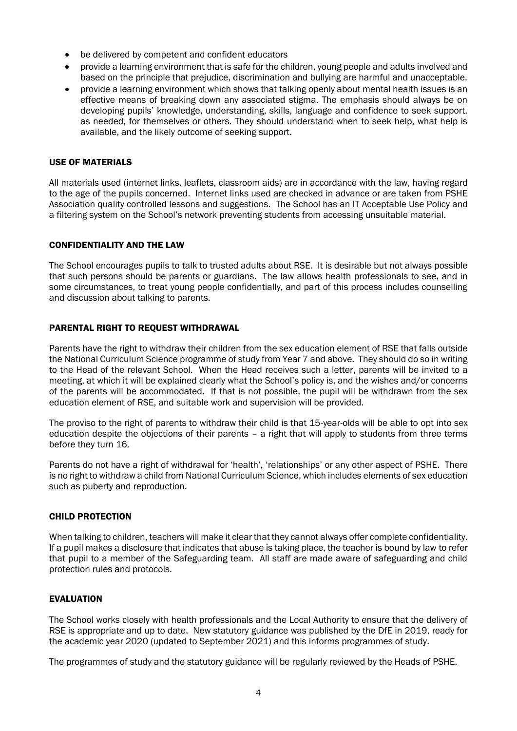- be delivered by competent and confident educators
- provide a learning environment that is safe for the children, young people and adults involved and based on the principle that prejudice, discrimination and bullying are harmful and unacceptable.
- provide a learning environment which shows that talking openly about mental health issues is an effective means of breaking down any associated stigma. The emphasis should always be on developing pupils' knowledge, understanding, skills, language and confidence to seek support, as needed, for themselves or others. They should understand when to seek help, what help is available, and the likely outcome of seeking support.

#### USE OF MATERIALS

All materials used (internet links, leaflets, classroom aids) are in accordance with the law, having regard to the age of the pupils concerned. Internet links used are checked in advance or are taken from PSHE Association quality controlled lessons and suggestions. The School has an IT Acceptable Use Policy and a filtering system on the School's network preventing students from accessing unsuitable material.

#### CONFIDENTIALITY AND THE LAW

The School encourages pupils to talk to trusted adults about RSE. It is desirable but not always possible that such persons should be parents or guardians. The law allows health professionals to see, and in some circumstances, to treat young people confidentially, and part of this process includes counselling and discussion about talking to parents.

#### PARENTAL RIGHT TO REQUEST WITHDRAWAL

Parents have the right to withdraw their children from the sex education element of RSE that falls outside the National Curriculum Science programme of study from Year 7 and above. They should do so in writing to the Head of the relevant School. When the Head receives such a letter, parents will be invited to a meeting, at which it will be explained clearly what the School's policy is, and the wishes and/or concerns of the parents will be accommodated. If that is not possible, the pupil will be withdrawn from the sex education element of RSE, and suitable work and supervision will be provided.

The proviso to the right of parents to withdraw their child is that 15-year-olds will be able to opt into sex education despite the objections of their parents – a right that will apply to students from three terms before they turn 16.

Parents do not have a right of withdrawal for 'health', 'relationships' or any other aspect of PSHE. There is no right to withdraw a child from National Curriculum Science, which includes elements of sex education such as puberty and reproduction.

#### CHILD PROTECTION

When talking to children, teachers will make it clear that they cannot always offer complete confidentiality. If a pupil makes a disclosure that indicates that abuse is taking place, the teacher is bound by law to refer that pupil to a member of the Safeguarding team. All staff are made aware of safeguarding and child protection rules and protocols.

#### EVALUATION

The School works closely with health professionals and the Local Authority to ensure that the delivery of RSE is appropriate and up to date. New statutory guidance was published by the DfE in 2019, ready for the academic year 2020 (updated to September 2021) and this informs programmes of study.

The programmes of study and the statutory guidance will be regularly reviewed by the Heads of PSHE.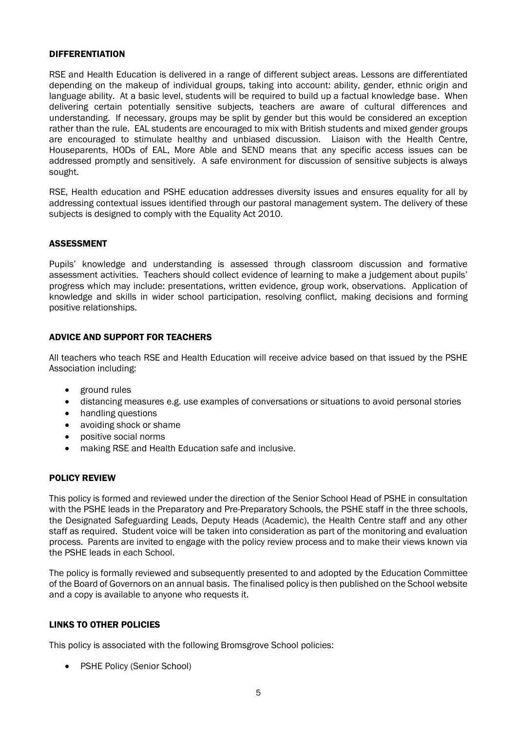#### DIFFERENTIATION

RSE and Health Education is delivered in a range of different subject areas. Lessons are differentiated depending on the makeup of individual groups, taking into account: ability, gender, ethnic origin and language ability. At a basic level, students will be required to build up a factual knowledge base. When delivering certain potentially sensitive subjects, teachers are aware of cultural differences and understanding. If necessary, groups may be split by gender but this would be considered an exception rather than the rule. EAL students are encouraged to mix with British students and mixed gender groups are encouraged to stimulate healthy and unbiased discussion. Liaison with the Health Centre, Houseparents, HODs of EAL, More Able and SEND means that any specific access issues can be addressed promptly and sensitively. A safe environment for discussion of sensitive subjects is always sought.

RSE, Health education and PSHE education addresses diversity issues and ensures equality for all by addressing contextual issues identified through our pastoral management system. The delivery of these subjects is designed to comply with the Equality Act 2010.

#### ASSESSMENT

Pupils' knowledge and understanding is assessed through classroom discussion and formative assessment activities. Teachers should collect evidence of learning to make a judgement about pupils' progress which may include: presentations, written evidence, group work, observations. Application of knowledge and skills in wider school participation, resolving conflict, making decisions and forming positive relationships.

#### ADVICE AND SUPPORT FOR TEACHERS

All teachers who teach RSE and Health Education will receive advice based on that issued by the PSHE Association including:

- ground rules
- distancing measures e.g. use examples of conversations or situations to avoid personal stories
- handling questions
- avoiding shock or shame
- positive social norms
- making RSE and Health Education safe and inclusive.

#### POLICY REVIEW

This policy is formed and reviewed under the direction of the Senior School Head of PSHE in consultation with the PSHE leads in the Preparatory and Pre-Preparatory Schools, the PSHE staff in the three schools, the Designated Safeguarding Leads, Deputy Heads (Academic), the Health Centre staff and any other staff as required. Student voice will be taken into consideration as part of the monitoring and evaluation process. Parents are invited to engage with the policy review process and to make their views known via the PSHE leads in each School.

The policy is formally reviewed and subsequently presented to and adopted by the Education Committee of the Board of Governors on an annual basis. The finalised policy is then published on the School website and a copy is available to anyone who requests it.

#### LINKS TO OTHER POLICIES

This policy is associated with the following Bromsgrove School policies:

• PSHE Policy (Senior School)